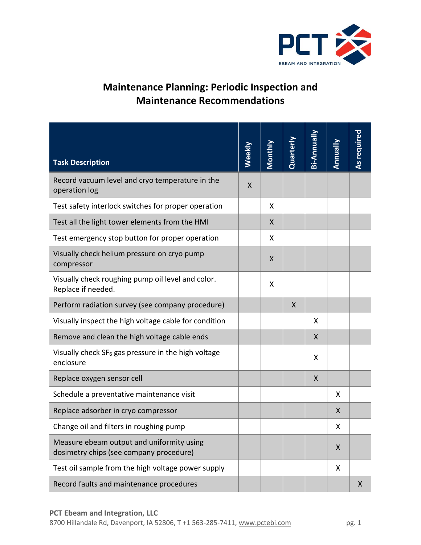

## **Maintenance Planning: Periodic Inspection and Maintenance Recommendations**

| <b>Task Description</b>                                                              | Weekly | <b>Monthly</b> | Quarterly | Bi-Annually | Annually | As required |
|--------------------------------------------------------------------------------------|--------|----------------|-----------|-------------|----------|-------------|
| Record vacuum level and cryo temperature in the<br>operation log                     | X      |                |           |             |          |             |
| Test safety interlock switches for proper operation                                  |        | X              |           |             |          |             |
| Test all the light tower elements from the HMI                                       |        | X              |           |             |          |             |
| Test emergency stop button for proper operation                                      |        | X              |           |             |          |             |
| Visually check helium pressure on cryo pump<br>compressor                            |        | X              |           |             |          |             |
| Visually check roughing pump oil level and color.<br>Replace if needed.              |        | X              |           |             |          |             |
| Perform radiation survey (see company procedure)                                     |        |                | X         |             |          |             |
| Visually inspect the high voltage cable for condition                                |        |                |           | X           |          |             |
| Remove and clean the high voltage cable ends                                         |        |                |           | X           |          |             |
| Visually check SF <sub>6</sub> gas pressure in the high voltage<br>enclosure         |        |                |           | X           |          |             |
| Replace oxygen sensor cell                                                           |        |                |           | X           |          |             |
| Schedule a preventative maintenance visit                                            |        |                |           |             | X        |             |
| Replace adsorber in cryo compressor                                                  |        |                |           |             | X        |             |
| Change oil and filters in roughing pump                                              |        |                |           |             | X        |             |
| Measure ebeam output and uniformity using<br>dosimetry chips (see company procedure) |        |                |           |             | X        |             |
| Test oil sample from the high voltage power supply                                   |        |                |           |             | X        |             |
| Record faults and maintenance procedures                                             |        |                |           |             |          | X           |